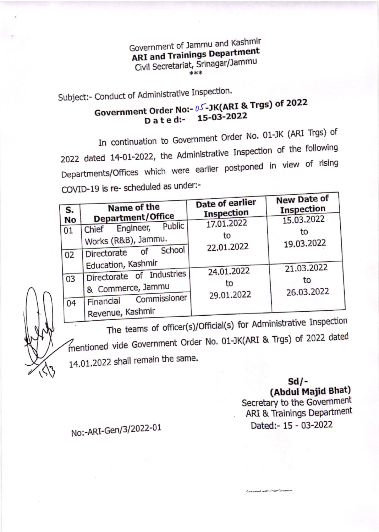Government of Jammu and Kashmir **ARI and Trainings Department** Civil Secretariat, Srinagar/Jammu \*\*\*

Subject:- Conduct of Administrative Inspection.

## Government Order No:- 0S-JK(ARI & Trgs) of 2022 15-03-2022 Dated:

In continuation to Government Order No. 01-JK (ARI Trgs) of 2022 dated 14-01-2022, the Administrative Inspection of the following Departments/Offices which were earlier postponed in view of rising COVID-19 is re- scheduled as under:-

| S.<br><b>No</b><br>  01<br>02 | Name of the<br>Department/Office<br>Public<br>Engineer,<br>Chief<br>Works (R&B), Jammu.<br>School<br>of<br>Directorate | Date of earlier<br>Inspection<br>17.01.2022<br>to<br>22.01.2022 | New Date of<br>Inspection<br>15.03.2022<br>to<br>19.03.2022 |
|-------------------------------|------------------------------------------------------------------------------------------------------------------------|-----------------------------------------------------------------|-------------------------------------------------------------|
| 03<br>04                      | Education, Kashmir<br>Directorate of Industries<br>& Commerce, Jammu<br>Commissioner<br>Financial<br>Revenue, Kashmir  | 24.01.2022<br>to<br>29.01.2022                                  | 21.03.2022<br>to<br>26.03.2022                              |

The teams of officer(s)/Official(s) for Administrative Inspection mentioned vide Government Order No. 01-JK(ARI & Trgs) of 2022 dated 14.01.2022 shall remain the same.

## $Sd/-$

(Abdul Majid Bhat)

Secretary to the Government ARI & Trainings Department Dated: - 15 - 03-2022

conner diju bonnes

No:-ARI-Gen/3/2022-01